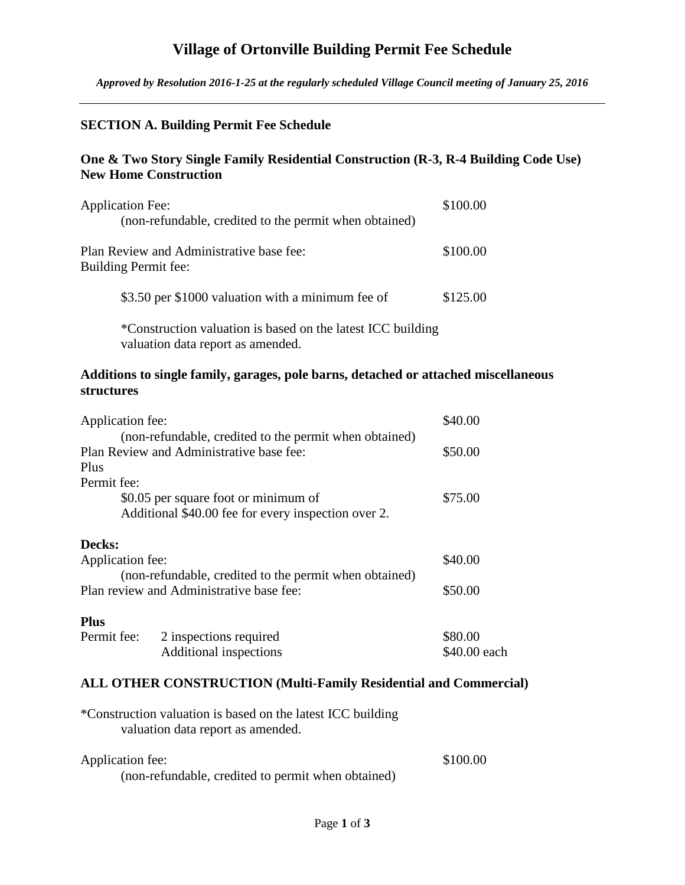# **Village of Ortonville Building Permit Fee Schedule**

*Approved by Resolution 2016-1-25 at the regularly scheduled Village Council meeting of January 25, 2016*

## **SECTION A. Building Permit Fee Schedule**

## **One & Two Story Single Family Residential Construction (R-3, R-4 Building Code Use) New Home Construction**

| <b>Application Fee:</b><br>(non-refundable, credited to the permit when obtained) | \$100.00 |
|-----------------------------------------------------------------------------------|----------|
| Plan Review and Administrative base fee:<br>Building Permit fee:                  | \$100.00 |
| \$3.50 per \$1000 valuation with a minimum fee of                                 | \$125.00 |
|                                                                                   |          |

\*Construction valuation is based on the latest ICC building valuation data report as amended.

## **Additions to single family, garages, pole barns, detached or attached miscellaneous structures**

| Application fee: |                                                        | \$40.00      |
|------------------|--------------------------------------------------------|--------------|
|                  | (non-refundable, credited to the permit when obtained) |              |
|                  | Plan Review and Administrative base fee:               | \$50.00      |
| Plus             |                                                        |              |
| Permit fee:      |                                                        |              |
|                  | \$0.05 per square foot or minimum of                   | \$75.00      |
|                  | Additional \$40.00 fee for every inspection over 2.    |              |
| Decks:           |                                                        |              |
| Application fee: |                                                        | \$40.00      |
|                  | (non-refundable, credited to the permit when obtained) |              |
|                  | Plan review and Administrative base fee:               | \$50.00      |
| <b>Plus</b>      |                                                        |              |
| Permit fee:      | 2 inspections required                                 | \$80.00      |
|                  | Additional inspections                                 | \$40.00 each |

## **ALL OTHER CONSTRUCTION (Multi-Family Residential and Commercial)**

| *Construction valuation is based on the latest ICC building |  |
|-------------------------------------------------------------|--|
| valuation data report as amended.                           |  |

| Application fee:                                   | \$100.00 |
|----------------------------------------------------|----------|
| (non-refundable, credited to permit when obtained) |          |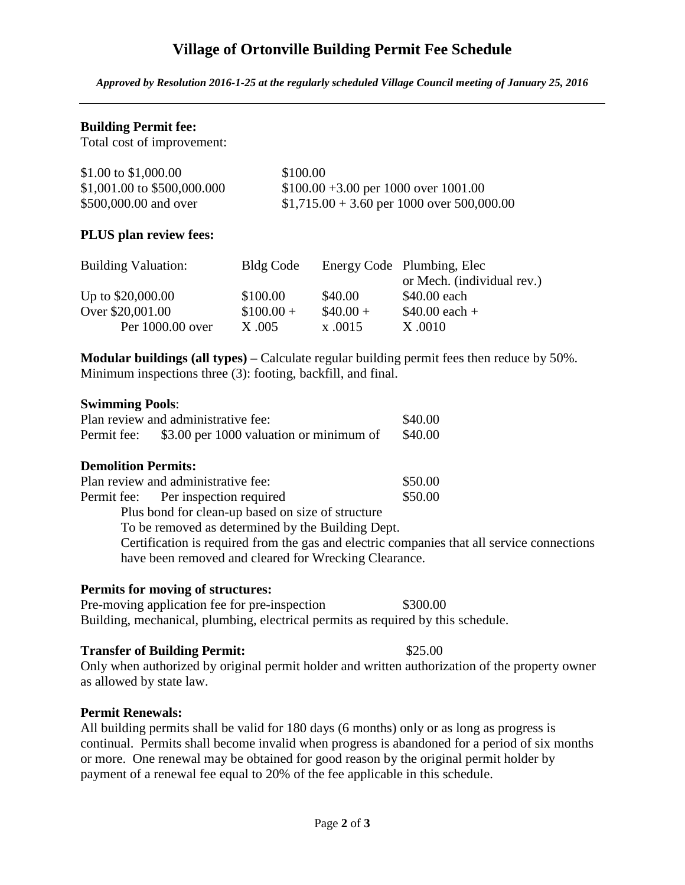# **Village of Ortonville Building Permit Fee Schedule**

*Approved by Resolution 2016-1-25 at the regularly scheduled Village Council meeting of January 25, 2016*

## **Building Permit fee:**

Total cost of improvement:

| \$1.00 to \$1,000.00        | \$100.00                                    |
|-----------------------------|---------------------------------------------|
| \$1,001.00 to \$500,000.000 | $$100.00 + 3.00$ per 1000 over 1001.00      |
| \$500,000.00 and over       | $$1,715.00 + 3.60$ per 1000 over 500,000.00 |

### **PLUS plan review fees:**

| <b>Building Valuation:</b> | Bldg Code  |           | Energy Code Plumbing, Elec |
|----------------------------|------------|-----------|----------------------------|
|                            |            |           | or Mech. (individual rev.) |
| Up to \$20,000.00          | \$100.00   | \$40.00   | \$40.00 each               |
| Over \$20,001.00           | $$100.00+$ | $$40.00+$ | $$40.00$ each +            |
| Per 1000.00 over           | X.005      | x.0015    | X.0010                     |

**Modular buildings (all types) –** Calculate regular building permit fees then reduce by 50%. Minimum inspections three (3): footing, backfill, and final.

#### **Swimming Pools**:

|             | Plan review and administrative fee:     | \$40.00 |
|-------------|-----------------------------------------|---------|
| Permit fee: | \$3.00 per 1000 valuation or minimum of | \$40.00 |

#### **Demolition Permits:**

| Plan review and administrative fee:               | \$50.00 |
|---------------------------------------------------|---------|
| Permit fee: Per inspection required               | \$50.00 |
| Plus bond for clean-up based on size of structure |         |

To be removed as determined by the Building Dept.

Certification is required from the gas and electric companies that all service connections have been removed and cleared for Wrecking Clearance.

## **Permits for moving of structures:**

Pre-moving application fee for pre-inspection \$300.00 Building, mechanical, plumbing, electrical permits as required by this schedule.

#### **Transfer of Building Permit:** \$25.00

Only when authorized by original permit holder and written authorization of the property owner as allowed by state law.

## **Permit Renewals:**

All building permits shall be valid for 180 days (6 months) only or as long as progress is continual. Permits shall become invalid when progress is abandoned for a period of six months or more. One renewal may be obtained for good reason by the original permit holder by payment of a renewal fee equal to 20% of the fee applicable in this schedule.